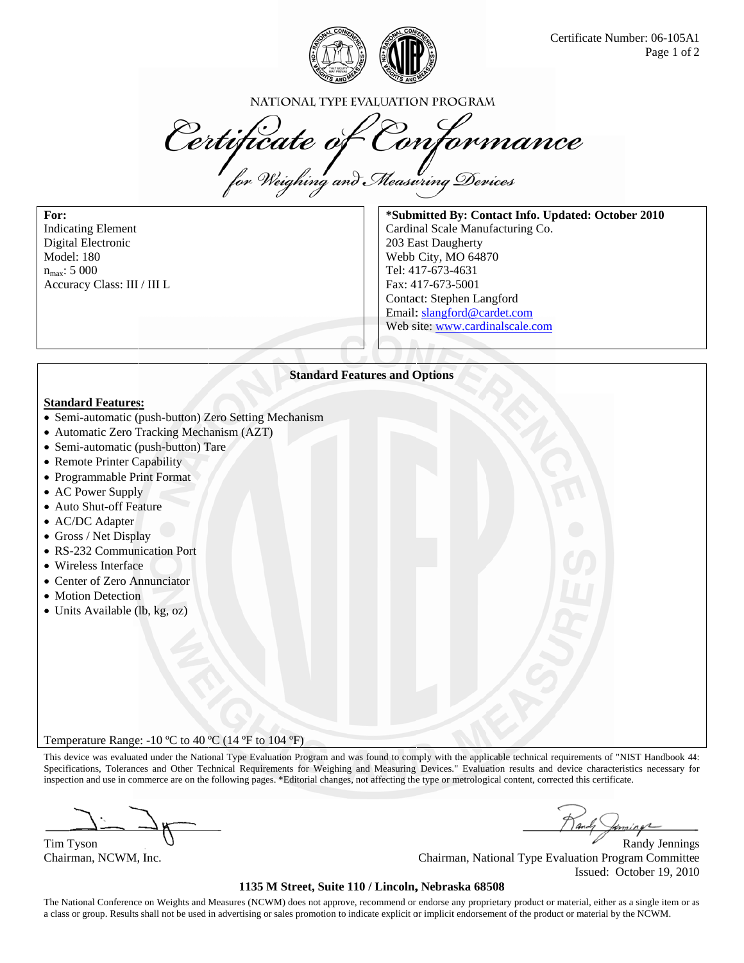

NATIONAL TYPE EVALUATION PROGRAM

Certificate of Conformance

For: **Indicating Element** Digital Electronic **Model: 180**  $n_{\text{max}}$ : 5 000 Accuracy Class: III / III L

\*Submitted By: Contact Info. Updated: October 2010 Cardinal Scale Manufacturing Co. 203 East Daugherty Webb City, MO 64870 Tel: 417-673-4631 Fax: 417-673-5001 Contact: Stephen Langford Email: slangford@cardet.com Web site: www.cardinalscale.com

# **Standard Features and Options**

#### **Standard Features:**

- Semi-automatic (push-button) Zero Setting Mechanism
- Automatic Zero Tracking Mechanism (AZT)
- Semi-automatic (push-button) Tare
- Remote Printer Capability
- Programmable Print Format
- AC Power Supply
- Auto Shut-off Feature
- AC/DC Adapter
- Gross / Net Display
- RS-232 Communication Port
- Wireless Interface
- Center of Zero Annunciator
- Motion Detection
- Units Available (lb, kg, oz)

Temperature Range:  $-10 \degree C$  to 40  $\degree C$  (14  $\degree F$  to 104  $\degree F$ )

This device was evaluated under the National Type Evaluation Program and was found to comply with the applicable technical requirements of "NIST Handbook 44: Specifications, Tolerances and Other Technical Requirements for Weighing and Measuring Devices." Evaluation results and device characteristics necessary for inspection and use in commerce are on the following pages. \*Editorial changes, not affecting the type or metrological content, corrected this certificate.

Tim Tyson

Chairman, NCWM, Inc.

**Randy Jennings** Chairman, National Type Evaluation Program Committee Issued: October 19, 2010

### 1135 M Street, Suite 110 / Lincoln, Nebraska 68508

The National Conference on Weights and Measures (NCWM) does not approve, recommend or endorse any proprietary product or material, either as a single item or as a class or group. Results shall not be used in advertising or sales promotion to indicate explicit or implicit endorsement of the product or material by the NCWM.